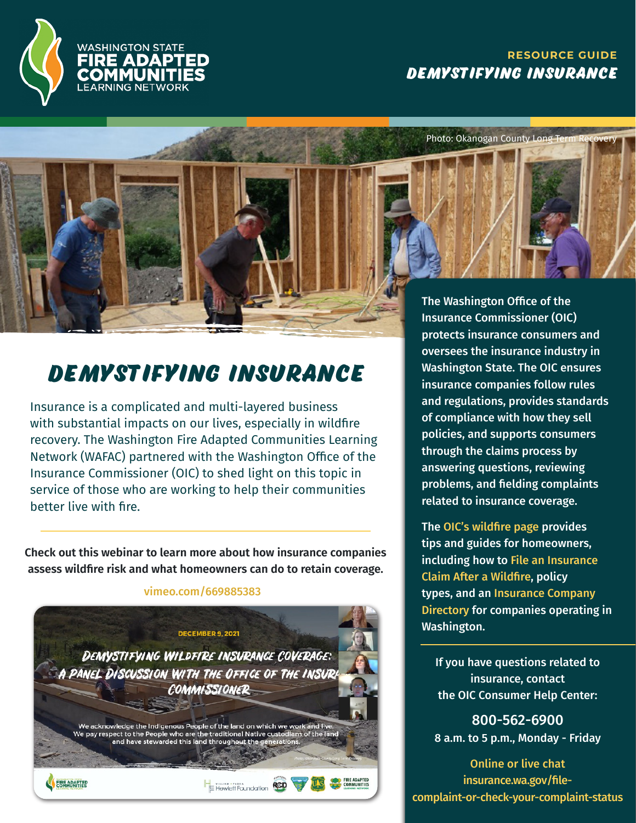

### **RESOURCE GUIDE Demystifying Insurance**

Photo: Okanogan County Long T

## **Demystifying Insurance**

Insurance is a complicated and multi-layered business with substantial impacts on our lives, especially in wildfire recovery. The Washington Fire Adapted Communities Learning Network (WAFAC) partnered with the [Washington Office of the](https://www.insurance.wa.gov/file-complaint-or-check-your-complaint-status)  [Insurance Commissioner](https://www.insurance.wa.gov/file-complaint-or-check-your-complaint-status) (OIC) to shed light on this topic in service of those who are working to help their communities better live with fire.

**Check out this [webinar](https://vimeo.com/669885383) to learn more about how insurance companies assess wildfire risk and what homeowners can do to retain coverage.**



vimeo.com/669885383

The Washington Office of the Insurance Commissioner (OIC) protects insurance consumers and oversees the insurance industry in Washington State. The OIC ensures insurance companies follow rules and regulations, provides standards of compliance with how they sell policies, and supports consumers through the claims process by answering questions, reviewing problems, and fielding complaints related to insurance coverage.

The [OIC's wildfire page provides](https://www.insurance.wa.gov/wildfires-and-homeowner-insurance)  [tips and guides for homeowners,](https://www.insurance.wa.gov/wildfires-and-homeowner-insurance)  [including how to](https://www.insurance.wa.gov/wildfires-and-homeowner-insurance) [File an Insurance](https://www.insurance.wa.gov/sites/default/files/documents/insurance-claim-fire_1.pdf)  Claim After a Wildfir[e, policy](https://www.insurance.wa.gov/sites/default/files/documents/insurance-claim-fire_1.pdf)  [types, and an](https://www.insurance.wa.gov/sites/default/files/documents/insurance-claim-fire_1.pdf) [Insurance Company](https://www.insurance.wa.gov/find-companies-agents)  [Directory](https://www.insurance.wa.gov/find-companies-agents) for companies operating in Washington.

If you have questions related to insurance, contact the OIC Consumer Help Center:

800-562-6900 8 a.m. to 5 p.m., Monday - Friday

[Online or live chat](https://www.insurance.wa.gov/file-complaint-or-check-your-complaint-status) insurance.wa.gov/filecomplaint-or-check-your-complaint-status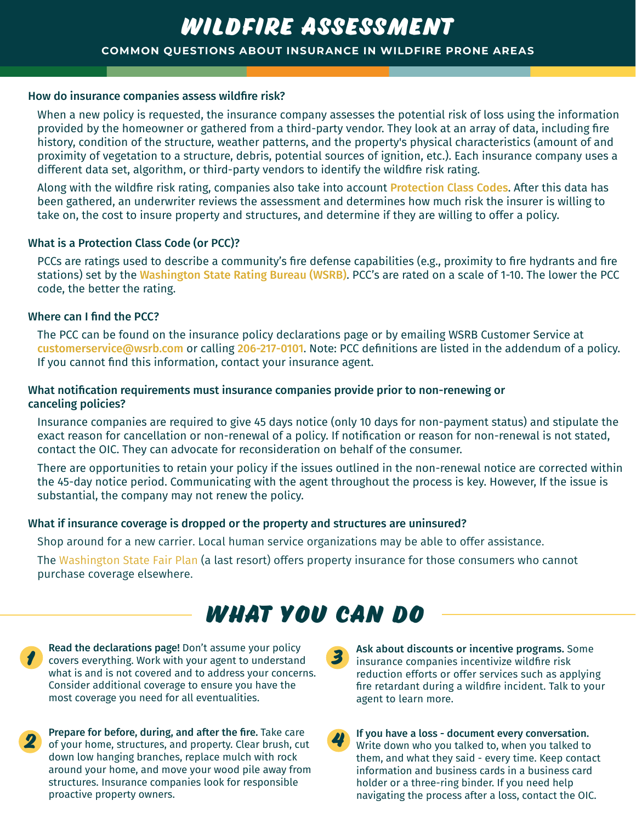### **COMMON QUESTIONS ABOUT INSURANCE IN WILDFIRE PRONE AREAS wildfire assessment**

#### How do insurance companies assess wildfire risk?

When a new policy is requested, the insurance company assesses the potential risk of loss using the information provided by the homeowner or gathered from a third-party vendor. They look at an array of data, including fire history, condition of the structure, weather patterns, and the property's physical characteristics (amount of and proximity of vegetation to a structure, debris, potential sources of ignition, etc.). Each insurance company uses a different data set, algorithm, or third-party vendors to identify the wildfire risk rating.

Along with the wildfire risk rating, companies also take into account [Protection Class Codes](https://www1.wsrb.com/resources/public-protection). After this data has been gathered, an underwriter reviews the assessment and determines how much risk the insurer is willing to take on, the cost to insure property and structures, and determine if they are willing to offer a policy.

### What is a Protection Class Code (or PCC)?

PCCs are ratings used to describe a community's fire defense capabilities (e.g., proximity to fire hydrants and fire stations) set by the [Washington State Rating Bureau](https://www1.wsrb.com/) (WSRB). PCC's are rated on a scale of 1-10. The lower the PCC code, the better the rating.

### Where can I find the PCC?

The PCC can be found on the insurance policy declarations page or by emailing WSRB Customer Service at [customerservice@wsrb.com](mailto:customerservice@wrsb.com) or calling 206-217-0101. Note: PCC definitions are listed in the addendum of a policy. If you cannot find this information, contact your insurance agent.

### What notification requirements must insurance companies provide prior to non-renewing or canceling policies?

Insurance companies are required to give 45 days notice (only 10 days for non-payment status) and stipulate the exact reason for cancellation or non-renewal of a policy. If notification or reason for non-renewal is not stated, contact the OIC. They can advocate for reconsideration on behalf of the consumer.

There are opportunities to retain your policy if the issues outlined in the non-renewal notice are corrected within the 45-day notice period. Communicating with the agent throughout the process is key. However, If the issue is substantial, the company may not renew the policy.

### What if insurance coverage is dropped or the property and structures are uninsured?

Shop around for a new carrier. Local human service organizations may be able to offer assistance.

The [Washington State Fair Plan](https://www.wafairplan.com/) (a last resort) offers property insurance for those consumers who cannot purchase coverage elsewhere.

## **What You Can Do**

Read the declarations page! Don't assume your policy covers everything. Work with your agent to understand what is and is not covered and to address your concerns. Consider additional coverage to ensure you have the most coverage you need for all eventualities.



of your home, structures, and property. Clear brush, cut down low hanging branches, replace mulch with rock around your home, and move your wood pile away from structures. Insurance companies look for responsible proactive property owners.

**3** Ask about discounts or incentive programs. Some insurance companies incentivize wildfire risk reduction efforts or offer services such as applying fire retardant during a wildfire incident. Talk to your agent to learn more.

**4** If you have a loss - document every conversation. Write down who you talked to, when you talked to them, and what they said - every time. Keep contact information and business cards in a business card holder or a three-ring binder. If you need help navigating the process after a loss, contact the OIC.